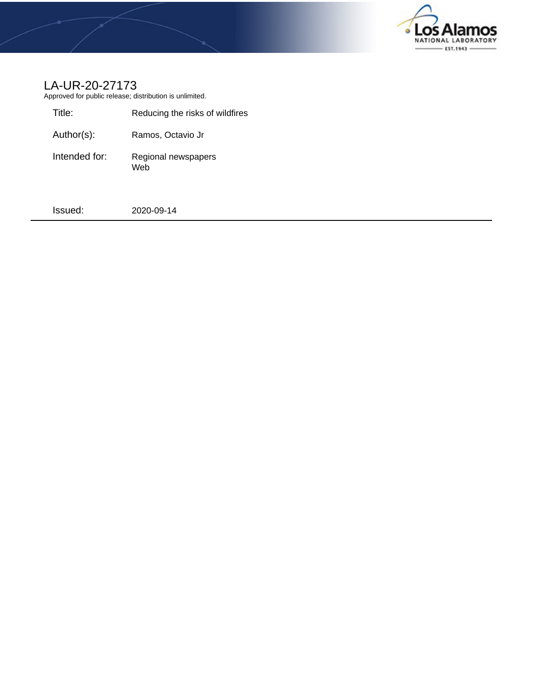

# LA-UR-20-27173

Approved for public release; distribution is unlimited.

| Title:        | Reducing the risks of wildfires |
|---------------|---------------------------------|
| Author(s):    | Ramos, Octavio Jr               |
| Intended for: | Regional newspapers<br>Web      |

Issued: 2020-09-14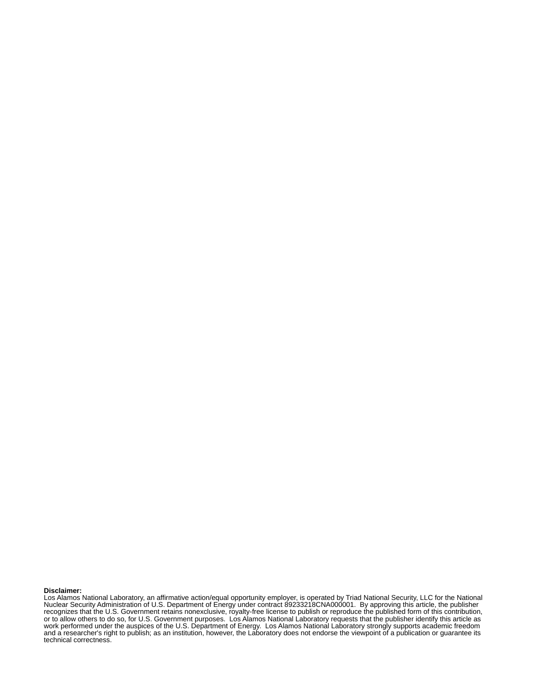#### **Disclaimer:**

Los Alamos National Laboratory, an affirmative action/equal opportunity employer, is operated by Triad National Security, LLC for the National Nuclear Security Administration of U.S. Department of Energy under contract 89233218CNA000001. By approving this article, the publisher recognizes that the U.S. Government retains nonexclusive, royalty-free license to publish or reproduce the published form of this contribution, or to allow others to do so, for U.S. Government purposes. Los Alamos National Laboratory requests that the publisher identify this article as work performed under the auspices of the U.S. Department of Energy. Los Alamos National Laboratory strongly supports academic freedom and a researcher's right to publish; as an institution, however, the Laboratory does not endorse the viewpoint of a publication or guarantee its technical correctness.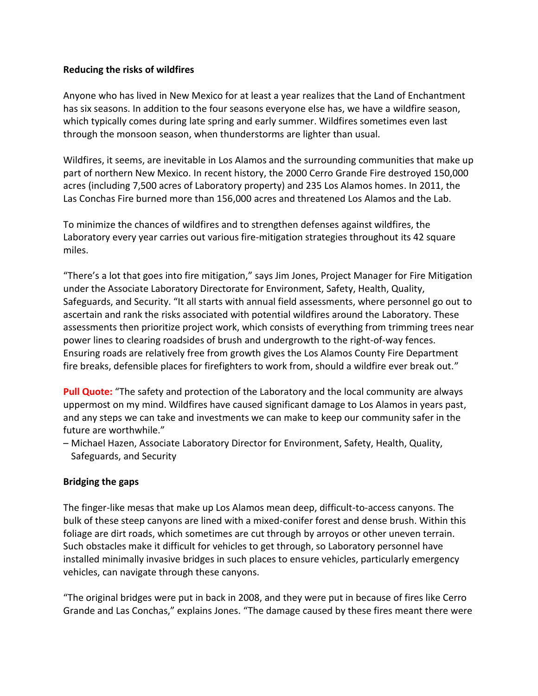#### **Reducing the risks of wildfires**

Anyone who has lived in New Mexico for at least a year realizes that the Land of Enchantment has six seasons. In addition to the four seasons everyone else has, we have a wildfire season, which typically comes during late spring and early summer. Wildfires sometimes even last through the monsoon season, when thunderstorms are lighter than usual.

Wildfires, it seems, are inevitable in Los Alamos and the surrounding communities that make up part of northern New Mexico. In recent history, the 2000 Cerro Grande Fire destroyed 150,000 acres (including 7,500 acres of Laboratory property) and 235 Los Alamos homes. In 2011, the Las Conchas Fire burned more than 156,000 acres and threatened Los Alamos and the Lab.

To minimize the chances of wildfires and to strengthen defenses against wildfires, the Laboratory every year carries out various fire-mitigation strategies throughout its 42 square miles.

"There's a lot that goes into fire mitigation," says Jim Jones, Project Manager for Fire Mitigation under the Associate Laboratory Directorate for Environment, Safety, Health, Quality, Safeguards, and Security. "It all starts with annual field assessments, where personnel go out to ascertain and rank the risks associated with potential wildfires around the Laboratory. These assessments then prioritize project work, which consists of everything from trimming trees near power lines to clearing roadsides of brush and undergrowth to the right-of-way fences. Ensuring roads are relatively free from growth gives the Los Alamos County Fire Department fire breaks, defensible places for firefighters to work from, should a wildfire ever break out."

**Pull Quote:** "The safety and protection of the Laboratory and the local community are always uppermost on my mind. Wildfires have caused significant damage to Los Alamos in years past, and any steps we can take and investments we can make to keep our community safer in the future are worthwhile."

– Michael Hazen, Associate Laboratory Director for Environment, Safety, Health, Quality, Safeguards, and Security

## **Bridging the gaps**

The finger-like mesas that make up Los Alamos mean deep, difficult-to-access canyons. The bulk of these steep canyons are lined with a mixed-conifer forest and dense brush. Within this foliage are dirt roads, which sometimes are cut through by arroyos or other uneven terrain. Such obstacles make it difficult for vehicles to get through, so Laboratory personnel have installed minimally invasive bridges in such places to ensure vehicles, particularly emergency vehicles, can navigate through these canyons.

"The original bridges were put in back in 2008, and they were put in because of fires like Cerro Grande and Las Conchas," explains Jones. "The damage caused by these fires meant there were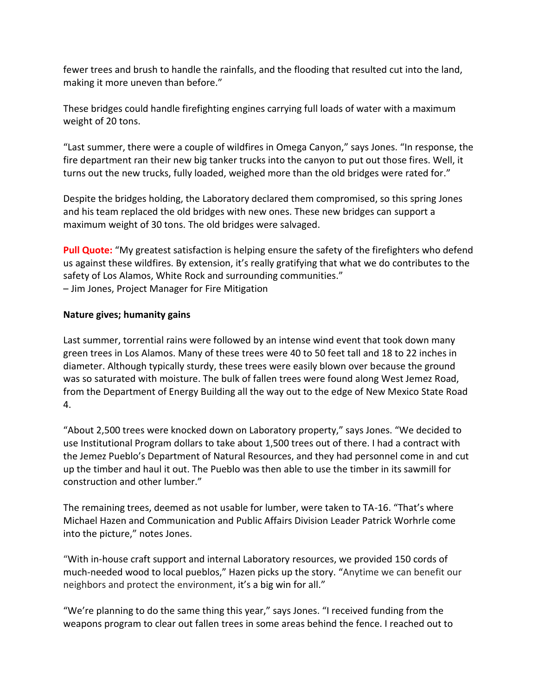fewer trees and brush to handle the rainfalls, and the flooding that resulted cut into the land, making it more uneven than before."

These bridges could handle firefighting engines carrying full loads of water with a maximum weight of 20 tons.

"Last summer, there were a couple of wildfires in Omega Canyon," says Jones. "In response, the fire department ran their new big tanker trucks into the canyon to put out those fires. Well, it turns out the new trucks, fully loaded, weighed more than the old bridges were rated for."

Despite the bridges holding, the Laboratory declared them compromised, so this spring Jones and his team replaced the old bridges with new ones. These new bridges can support a maximum weight of 30 tons. The old bridges were salvaged.

**Pull Quote:** "My greatest satisfaction is helping ensure the safety of the firefighters who defend us against these wildfires. By extension, it's really gratifying that what we do contributes to the safety of Los Alamos, White Rock and surrounding communities." – Jim Jones, Project Manager for Fire Mitigation

## **Nature gives; humanity gains**

Last summer, torrential rains were followed by an intense wind event that took down many green trees in Los Alamos. Many of these trees were 40 to 50 feet tall and 18 to 22 inches in diameter. Although typically sturdy, these trees were easily blown over because the ground was so saturated with moisture. The bulk of fallen trees were found along West Jemez Road, from the Department of Energy Building all the way out to the edge of New Mexico State Road 4.

"About 2,500 trees were knocked down on Laboratory property," says Jones. "We decided to use Institutional Program dollars to take about 1,500 trees out of there. I had a contract with the Jemez Pueblo's Department of Natural Resources, and they had personnel come in and cut up the timber and haul it out. The Pueblo was then able to use the timber in its sawmill for construction and other lumber."

The remaining trees, deemed as not usable for lumber, were taken to TA-16. "That's where Michael Hazen and Communication and Public Affairs Division Leader Patrick Worhrle come into the picture," notes Jones.

"With in-house craft support and internal Laboratory resources, we provided 150 cords of much-needed wood to local pueblos," Hazen picks up the story. "Anytime we can benefit our neighbors and protect the environment, it's a big win for all."

"We're planning to do the same thing this year," says Jones. "I received funding from the weapons program to clear out fallen trees in some areas behind the fence. I reached out to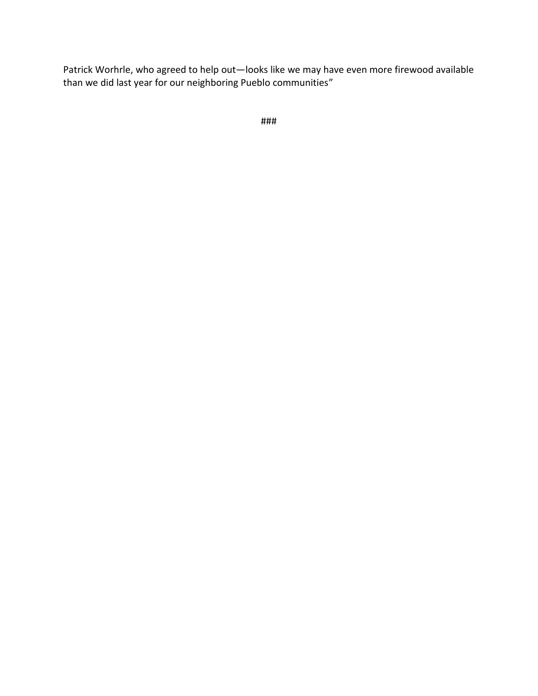Patrick Worhrle, who agreed to help out—looks like we may have even more firewood available than we did last year for our neighboring Pueblo communities"

```
###
```